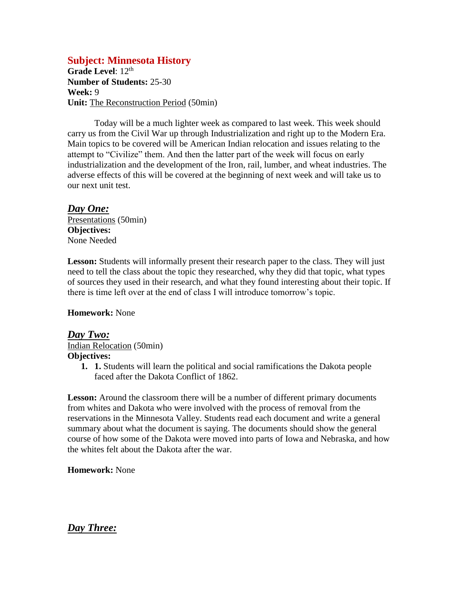# **Subject: Minnesota History**

Grade Level: 12<sup>th</sup> **Number of Students:** 25-30 **Week:** 9 **Unit:** The Reconstruction Period (50min)

Today will be a much lighter week as compared to last week. This week should carry us from the Civil War up through Industrialization and right up to the Modern Era. Main topics to be covered will be American Indian relocation and issues relating to the attempt to "Civilize" them. And then the latter part of the week will focus on early industrialization and the development of the Iron, rail, lumber, and wheat industries. The adverse effects of this will be covered at the beginning of next week and will take us to our next unit test.

*Day One:* Presentations (50min) **Objectives:** None Needed

**Lesson:** Students will informally present their research paper to the class. They will just need to tell the class about the topic they researched, why they did that topic, what types of sources they used in their research, and what they found interesting about their topic. If there is time left over at the end of class I will introduce tomorrow's topic.

#### **Homework:** None

*Day Two:* Indian Relocation (50min) **Objectives:**

**1. 1.** Students will learn the political and social ramifications the Dakota people faced after the Dakota Conflict of 1862.

**Lesson:** Around the classroom there will be a number of different primary documents from whites and Dakota who were involved with the process of removal from the reservations in the Minnesota Valley. Students read each document and write a general summary about what the document is saying. The documents should show the general course of how some of the Dakota were moved into parts of Iowa and Nebraska, and how the whites felt about the Dakota after the war.

**Homework:** None

*Day Three:*